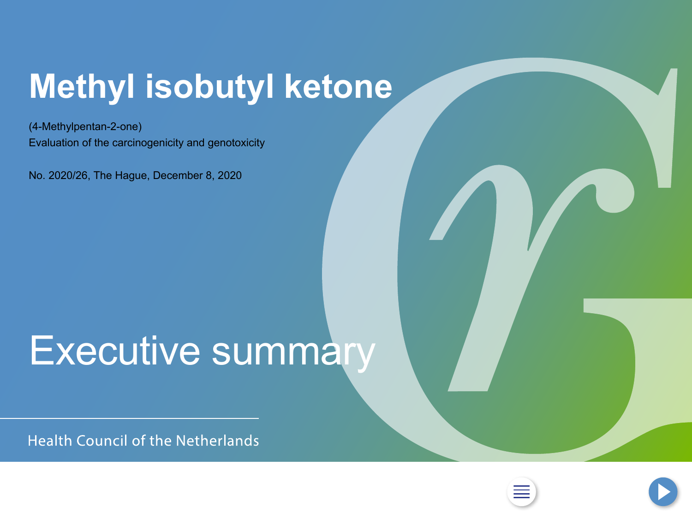## <span id="page-0-0"></span>**Methyl isobutyl ketone**

(4-Methylpentan-2-one) Evaluation of the carcinogenicity and genotoxicity

No. 2020/26, The Hague, December 8, 2020

# Executive summary

**Health Council of the Netherlands** 



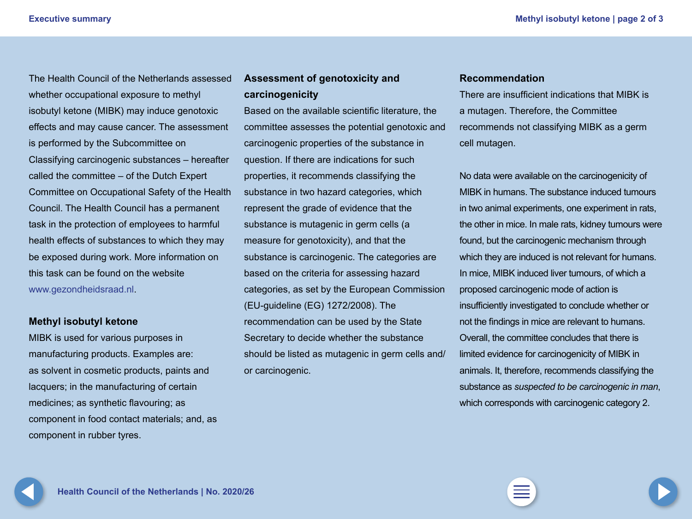The Health Council of the Netherlands assessed whether occupational exposure to methyl isobutyl ketone (MIBK) may induce genotoxic effects and may cause cancer. The assessment is performed by the Subcommittee on Classifying carcinogenic substances – hereafter called the committee – of the Dutch Expert Committee on Occupational Safety of the Health Council. The Health Council has a permanent task in the protection of employees to harmful health effects of substances to which they may be exposed during work. More information on this task can be found on the website www.gezondheidsraad.nl. The Health Council of the Netherlands assessed **Assessment of genotoxicity and Recommendation**<br>whether occupational exposure to methyl **carcinogenicity Exercise and Sepanation**<br>Carcinogenicity

#### **Methyl isobutyl ketone**

MIBK is used for various purposes in manufacturing products. Examples are: as solvent in cosmetic products, paints and lacquers; in the manufacturing of certain medicines; as synthetic flavouring; as component in food contact materials; and, as component in rubber tyres.

#### <span id="page-1-0"></span>**Assessment of genotoxicity and carcinogenicity**

Based on the available scientific literature, the committee assesses the potential genotoxic and carcinogenic properties of the substance in question. If there are indications for such properties, it recommends classifying the substance in two hazard categories, which represent the grade of evidence that the substance is mutagenic in germ cells (a measure for genotoxicity), and that the substance is carcinogenic. The categories are based on the criteria for assessing hazard categories, as set by the European Commission (EU-guideline (EG) 1272/2008). The recommendation can be used by the State Secretary to decide whether the substance should be listed as mutagenic in germ cells and/ or carcinogenic.

There are insufficient indications that MIBK is a mutagen. Therefore, the Committee recommends not classifying MIBK as a germ cell mutagen.

No data were available on the carcinogenicity of MIBK in humans. The substance induced tumours in two animal experiments, one experiment in rats, the other in mice. In male rats, kidney tumours were found, but the carcinogenic mechanism through which they are induced is not relevant for humans. In mice, MIBK induced liver tumours, of which a proposed carcinogenic mode of action is insufficiently investigated to conclude whether or not the findings in mice are relevant to humans. Overall, the committee concludes that there is limited evidence for carcinogenicity of MIBK in animals. It, therefore, recommends classifying the substance as *suspected to be carcinogenic in man*, which corresponds with carcinogenic category 2.